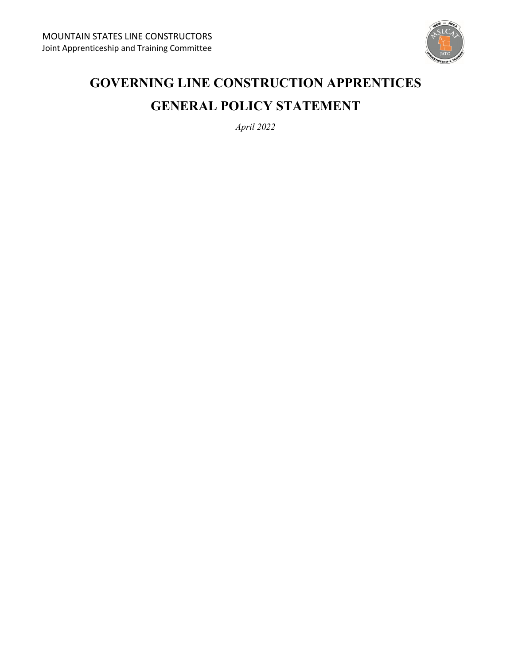

# **GOVERNING LINE CONSTRUCTION APPRENTICES GENERAL POLICY STATEMENT**

*April 2022*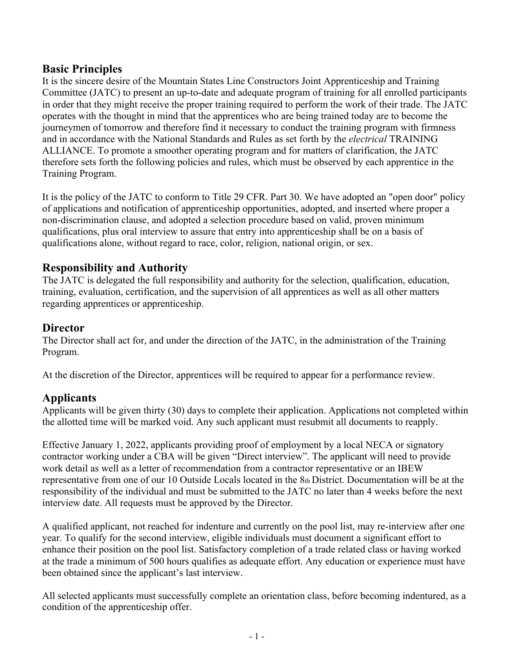# **Basic Principles**

It is the sincere desire of the Mountain States Line Constructors Joint Apprenticeship and Training Committee (JATC) to present an up-to-date and adequate program of training for all enrolled participants in order that they might receive the proper training required to perform the work of their trade. The JATC operates with the thought in mind that the apprentices who are being trained today are to become the journeymen of tomorrow and therefore find it necessary to conduct the training program with firmness and in accordance with the National Standards and Rules as set forth by the *electrical* TRAINING ALLIANCE. To promote a smoother operating program and for matters of clarification, the JATC therefore sets forth the following policies and rules, which must be observed by each apprentice in the Training Program.

It is the policy of the JATC to conform to Title 29 CFR. Part 30. We have adopted an "open door" policy of applications and notification of apprenticeship opportunities, adopted, and inserted where proper a non-discrimination clause, and adopted a selection procedure based on valid, proven minimum qualifications, plus oral interview to assure that entry into apprenticeship shall be on a basis of qualifications alone, without regard to race, color, religion, national origin, or sex.

# **Responsibility and Authority**

The JATC is delegated the full responsibility and authority for the selection, qualification, education, training, evaluation, certification, and the supervision of all apprentices as well as all other matters regarding apprentices or apprenticeship.

# **Director**

The Director shall act for, and under the direction of the JATC, in the administration of the Training Program.

At the discretion of the Director, apprentices will be required to appear for a performance review.

# **Applicants**

Applicants will be given thirty (30) days to complete their application. Applications not completed within the allotted time will be marked void. Any such applicant must resubmit all documents to reapply.

Effective January 1, 2022, applicants providing proof of employment by a local NECA or signatory contractor working under a CBA will be given "Direct interview". The applicant will need to provide work detail as well as a letter of recommendation from a contractor representative or an IBEW representative from one of our 10 Outside Locals located in the 8th District. Documentation will be at the responsibility of the individual and must be submitted to the JATC no later than 4 weeks before the next interview date. All requests must be approved by the Director.

A qualified applicant, not reached for indenture and currently on the pool list, may re-interview after one year. To qualify for the second interview, eligible individuals must document a significant effort to enhance their position on the pool list. Satisfactory completion of a trade related class or having worked at the trade a minimum of 500 hours qualifies as adequate effort. Any education or experience must have been obtained since the applicant's last interview.

All selected applicants must successfully complete an orientation class, before becoming indentured, as a condition of the apprenticeship offer.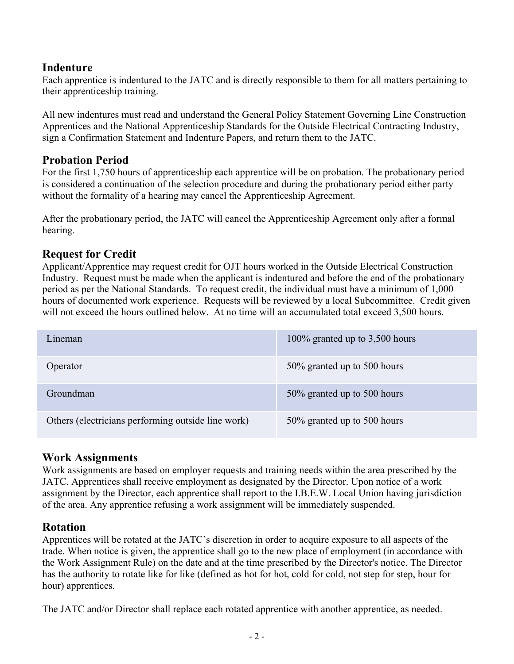# **Indenture**

Each apprentice is indentured to the JATC and is directly responsible to them for all matters pertaining to their apprenticeship training.

All new indentures must read and understand the General Policy Statement Governing Line Construction Apprentices and the National Apprenticeship Standards for the Outside Electrical Contracting Industry, sign a Confirmation Statement and Indenture Papers, and return them to the JATC.

# **Probation Period**

For the first 1,750 hours of apprenticeship each apprentice will be on probation. The probationary period is considered a continuation of the selection procedure and during the probationary period either party without the formality of a hearing may cancel the Apprenticeship Agreement.

After the probationary period, the JATC will cancel the Apprenticeship Agreement only after a formal hearing.

# **Request for Credit**

Applicant/Apprentice may request credit for OJT hours worked in the Outside Electrical Construction Industry. Request must be made when the applicant is indentured and before the end of the probationary period as per the National Standards. To request credit, the individual must have a minimum of 1,000 hours of documented work experience. Requests will be reviewed by a local Subcommittee. Credit given will not exceed the hours outlined below. At no time will an accumulated total exceed 3,500 hours.

| L <sub>1</sub> neman                               | 100% granted up to $3,500$ hours |
|----------------------------------------------------|----------------------------------|
| Operator                                           | 50% granted up to 500 hours      |
| Groundman                                          | 50% granted up to 500 hours      |
| Others (electricians performing outside line work) | 50% granted up to 500 hours      |

# **Work Assignments**

Work assignments are based on employer requests and training needs within the area prescribed by the JATC. Apprentices shall receive employment as designated by the Director. Upon notice of a work assignment by the Director, each apprentice shall report to the I.B.E.W. Local Union having jurisdiction of the area. Any apprentice refusing a work assignment will be immediately suspended.

# **Rotation**

Apprentices will be rotated at the JATC's discretion in order to acquire exposure to all aspects of the trade. When notice is given, the apprentice shall go to the new place of employment (in accordance with the Work Assignment Rule) on the date and at the time prescribed by the Director's notice. The Director has the authority to rotate like for like (defined as hot for hot, cold for cold, not step for step, hour for hour) apprentices.

The JATC and/or Director shall replace each rotated apprentice with another apprentice, as needed.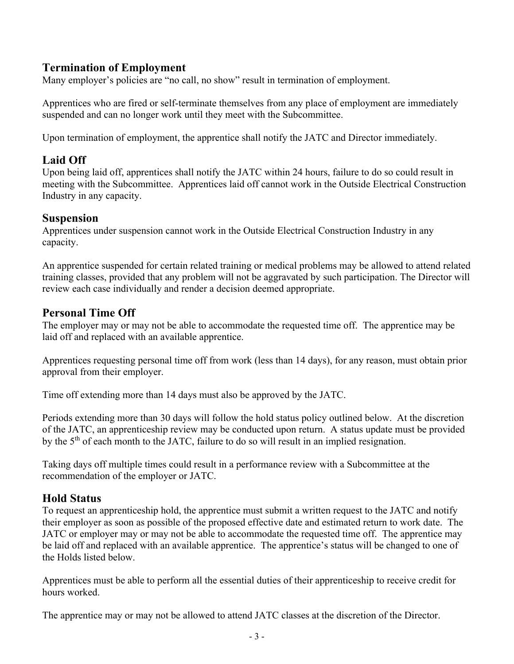### **Termination of Employment**

Many employer's policies are "no call, no show" result in termination of employment.

Apprentices who are fired or self-terminate themselves from any place of employment are immediately suspended and can no longer work until they meet with the Subcommittee.

Upon termination of employment, the apprentice shall notify the JATC and Director immediately.

### **Laid Off**

Upon being laid off, apprentices shall notify the JATC within 24 hours, failure to do so could result in meeting with the Subcommittee. Apprentices laid off cannot work in the Outside Electrical Construction Industry in any capacity.

#### **Suspension**

Apprentices under suspension cannot work in the Outside Electrical Construction Industry in any capacity.

An apprentice suspended for certain related training or medical problems may be allowed to attend related training classes, provided that any problem will not be aggravated by such participation. The Director will review each case individually and render a decision deemed appropriate.

# **Personal Time Off**

The employer may or may not be able to accommodate the requested time off. The apprentice may be laid off and replaced with an available apprentice.

Apprentices requesting personal time off from work (less than 14 days), for any reason, must obtain prior approval from their employer.

Time off extending more than 14 days must also be approved by the JATC.

Periods extending more than 30 days will follow the hold status policy outlined below. At the discretion of the JATC, an apprenticeship review may be conducted upon return. A status update must be provided by the  $5<sup>th</sup>$  of each month to the JATC, failure to do so will result in an implied resignation.

Taking days off multiple times could result in a performance review with a Subcommittee at the recommendation of the employer or JATC.

### **Hold Status**

To request an apprenticeship hold, the apprentice must submit a written request to the JATC and notify their employer as soon as possible of the proposed effective date and estimated return to work date. The JATC or employer may or may not be able to accommodate the requested time off. The apprentice may be laid off and replaced with an available apprentice. The apprentice's status will be changed to one of the Holds listed below.

Apprentices must be able to perform all the essential duties of their apprenticeship to receive credit for hours worked.

The apprentice may or may not be allowed to attend JATC classes at the discretion of the Director.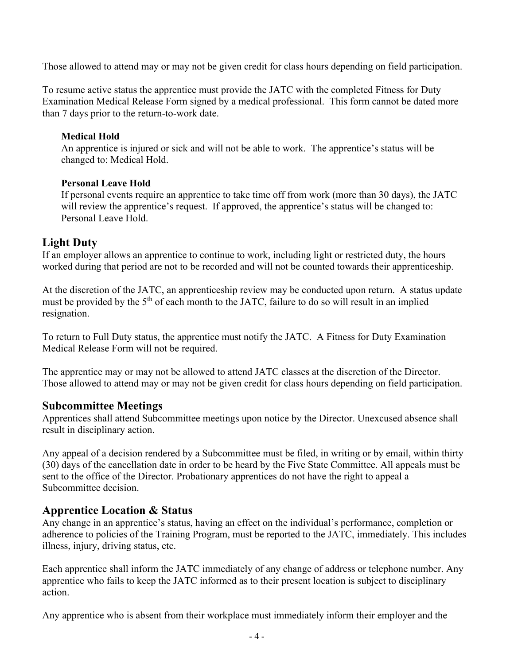Those allowed to attend may or may not be given credit for class hours depending on field participation.

To resume active status the apprentice must provide the JATC with the completed Fitness for Duty Examination Medical Release Form signed by a medical professional. This form cannot be dated more than 7 days prior to the return-to-work date.

#### **Medical Hold**

An apprentice is injured or sick and will not be able to work. The apprentice's status will be changed to: Medical Hold.

#### **Personal Leave Hold**

If personal events require an apprentice to take time off from work (more than 30 days), the JATC will review the apprentice's request. If approved, the apprentice's status will be changed to: Personal Leave Hold.

### **Light Duty**

If an employer allows an apprentice to continue to work, including light or restricted duty, the hours worked during that period are not to be recorded and will not be counted towards their apprenticeship.

At the discretion of the JATC, an apprenticeship review may be conducted upon return. A status update must be provided by the 5<sup>th</sup> of each month to the JATC, failure to do so will result in an implied resignation.

To return to Full Duty status, the apprentice must notify the JATC. A Fitness for Duty Examination Medical Release Form will not be required.

The apprentice may or may not be allowed to attend JATC classes at the discretion of the Director. Those allowed to attend may or may not be given credit for class hours depending on field participation.

### **Subcommittee Meetings**

Apprentices shall attend Subcommittee meetings upon notice by the Director. Unexcused absence shall result in disciplinary action.

Any appeal of a decision rendered by a Subcommittee must be filed, in writing or by email, within thirty (30) days of the cancellation date in order to be heard by the Five State Committee. All appeals must be sent to the office of the Director. Probationary apprentices do not have the right to appeal a Subcommittee decision.

# **Apprentice Location & Status**

Any change in an apprentice's status, having an effect on the individual's performance, completion or adherence to policies of the Training Program, must be reported to the JATC, immediately. This includes illness, injury, driving status, etc.

Each apprentice shall inform the JATC immediately of any change of address or telephone number. Any apprentice who fails to keep the JATC informed as to their present location is subject to disciplinary action.

Any apprentice who is absent from their workplace must immediately inform their employer and the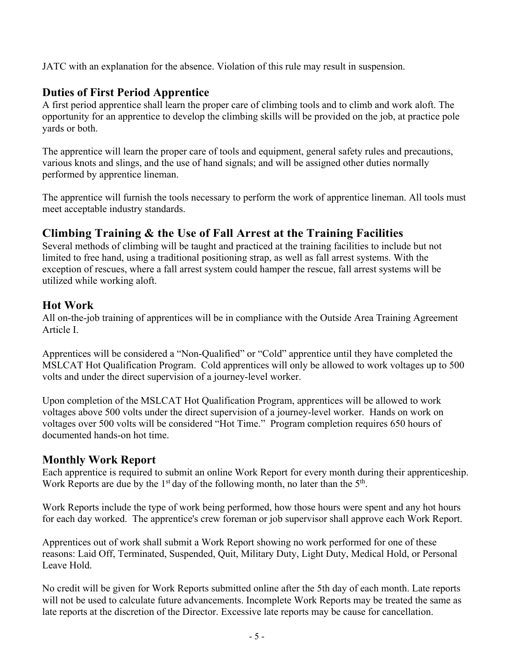JATC with an explanation for the absence. Violation of this rule may result in suspension.

# **Duties of First Period Apprentice**

A first period apprentice shall learn the proper care of climbing tools and to climb and work aloft. The opportunity for an apprentice to develop the climbing skills will be provided on the job, at practice pole yards or both.

The apprentice will learn the proper care of tools and equipment, general safety rules and precautions, various knots and slings, and the use of hand signals; and will be assigned other duties normally performed by apprentice lineman.

The apprentice will furnish the tools necessary to perform the work of apprentice lineman. All tools must meet acceptable industry standards.

# **Climbing Training & the Use of Fall Arrest at the Training Facilities**

Several methods of climbing will be taught and practiced at the training facilities to include but not limited to free hand, using a traditional positioning strap, as well as fall arrest systems. With the exception of rescues, where a fall arrest system could hamper the rescue, fall arrest systems will be utilized while working aloft.

# **Hot Work**

All on-the-job training of apprentices will be in compliance with the Outside Area Training Agreement Article I.

Apprentices will be considered a "Non-Qualified" or "Cold" apprentice until they have completed the MSLCAT Hot Qualification Program. Cold apprentices will only be allowed to work voltages up to 500 volts and under the direct supervision of a journey-level worker.

Upon completion of the MSLCAT Hot Qualification Program, apprentices will be allowed to work voltages above 500 volts under the direct supervision of a journey-level worker. Hands on work on voltages over 500 volts will be considered "Hot Time." Program completion requires 650 hours of documented hands-on hot time.

# **Monthly Work Report**

Each apprentice is required to submit an online Work Report for every month during their apprenticeship. Work Reports are due by the  $1<sup>st</sup>$  day of the following month, no later than the  $5<sup>th</sup>$ .

Work Reports include the type of work being performed, how those hours were spent and any hot hours for each day worked. The apprentice's crew foreman or job supervisor shall approve each Work Report.

Apprentices out of work shall submit a Work Report showing no work performed for one of these reasons: Laid Off, Terminated, Suspended, Quit, Military Duty, Light Duty, Medical Hold, or Personal Leave Hold.

No credit will be given for Work Reports submitted online after the 5th day of each month. Late reports will not be used to calculate future advancements. Incomplete Work Reports may be treated the same as late reports at the discretion of the Director. Excessive late reports may be cause for cancellation.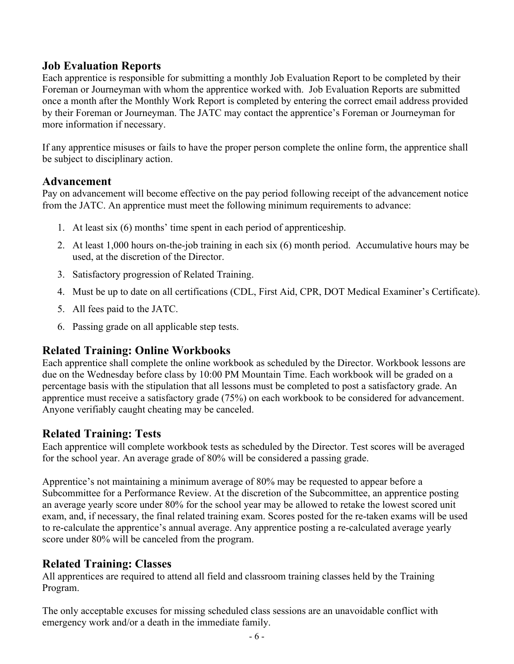# **Job Evaluation Reports**

Each apprentice is responsible for submitting a monthly Job Evaluation Report to be completed by their Foreman or Journeyman with whom the apprentice worked with. Job Evaluation Reports are submitted once a month after the Monthly Work Report is completed by entering the correct email address provided by their Foreman or Journeyman. The JATC may contact the apprentice's Foreman or Journeyman for more information if necessary.

If any apprentice misuses or fails to have the proper person complete the online form, the apprentice shall be subject to disciplinary action.

### **Advancement**

Pay on advancement will become effective on the pay period following receipt of the advancement notice from the JATC. An apprentice must meet the following minimum requirements to advance:

- 1. At least six (6) months' time spent in each period of apprenticeship.
- 2. At least 1,000 hours on-the-job training in each six (6) month period. Accumulative hours may be used, at the discretion of the Director.
- 3. Satisfactory progression of Related Training.
- 4. Must be up to date on all certifications (CDL, First Aid, CPR, DOT Medical Examiner's Certificate).
- 5. All fees paid to the JATC.
- 6. Passing grade on all applicable step tests.

# **Related Training: Online Workbooks**

Each apprentice shall complete the online workbook as scheduled by the Director. Workbook lessons are due on the Wednesday before class by 10:00 PM Mountain Time. Each workbook will be graded on a percentage basis with the stipulation that all lessons must be completed to post a satisfactory grade. An apprentice must receive a satisfactory grade (75%) on each workbook to be considered for advancement. Anyone verifiably caught cheating may be canceled.

# **Related Training: Tests**

Each apprentice will complete workbook tests as scheduled by the Director. Test scores will be averaged for the school year. An average grade of 80% will be considered a passing grade.

Apprentice's not maintaining a minimum average of 80% may be requested to appear before a Subcommittee for a Performance Review. At the discretion of the Subcommittee, an apprentice posting an average yearly score under 80% for the school year may be allowed to retake the lowest scored unit exam, and, if necessary, the final related training exam. Scores posted for the re-taken exams will be used to re-calculate the apprentice's annual average. Any apprentice posting a re-calculated average yearly score under 80% will be canceled from the program.

# **Related Training: Classes**

All apprentices are required to attend all field and classroom training classes held by the Training Program.

The only acceptable excuses for missing scheduled class sessions are an unavoidable conflict with emergency work and/or a death in the immediate family.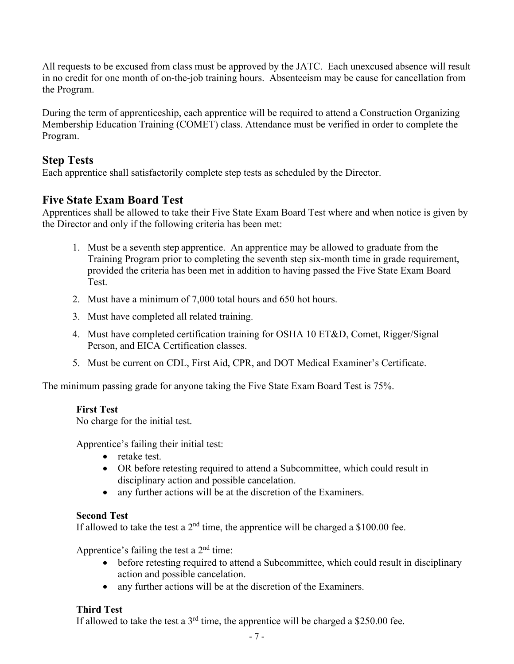All requests to be excused from class must be approved by the JATC. Each unexcused absence will result in no credit for one month of on-the-job training hours. Absenteeism may be cause for cancellation from the Program.

During the term of apprenticeship, each apprentice will be required to attend a Construction Organizing Membership Education Training (COMET) class. Attendance must be verified in order to complete the Program.

# **Step Tests**

Each apprentice shall satisfactorily complete step tests as scheduled by the Director.

# **Five State Exam Board Test**

Apprentices shall be allowed to take their Five State Exam Board Test where and when notice is given by the Director and only if the following criteria has been met:

- 1. Must be a seventh step apprentice. An apprentice may be allowed to graduate from the Training Program prior to completing the seventh step six-month time in grade requirement, provided the criteria has been met in addition to having passed the Five State Exam Board Test.
- 2. Must have a minimum of 7,000 total hours and 650 hot hours.
- 3. Must have completed all related training.
- 4. Must have completed certification training for OSHA 10 ET&D, Comet, Rigger/Signal Person, and EICA Certification classes.
- 5. Must be current on CDL, First Aid, CPR, and DOT Medical Examiner's Certificate.

The minimum passing grade for anyone taking the Five State Exam Board Test is 75%.

#### **First Test**

No charge for the initial test.

Apprentice's failing their initial test:

- retake test.
- OR before retesting required to attend a Subcommittee, which could result in disciplinary action and possible cancelation.
- any further actions will be at the discretion of the Examiners.

#### **Second Test**

If allowed to take the test a  $2<sup>nd</sup>$  time, the apprentice will be charged a \$100.00 fee.

Apprentice's failing the test a  $2<sup>nd</sup>$  time:

- before retesting required to attend a Subcommittee, which could result in disciplinary action and possible cancelation.
- any further actions will be at the discretion of the Examiners.

### **Third Test**

If allowed to take the test a  $3<sup>rd</sup>$  time, the apprentice will be charged a \$250.00 fee.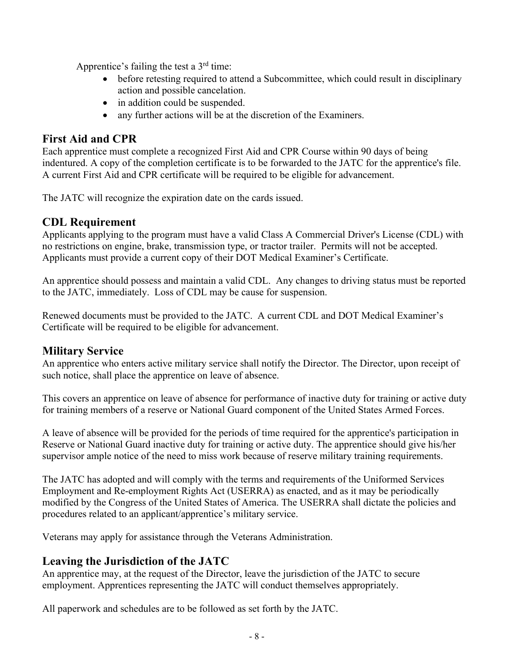Apprentice's failing the test a  $3<sup>rd</sup>$  time:

- before retesting required to attend a Subcommittee, which could result in disciplinary action and possible cancelation.
- in addition could be suspended.
- any further actions will be at the discretion of the Examiners.

# **First Aid and CPR**

Each apprentice must complete a recognized First Aid and CPR Course within 90 days of being indentured. A copy of the completion certificate is to be forwarded to the JATC for the apprentice's file. A current First Aid and CPR certificate will be required to be eligible for advancement.

The JATC will recognize the expiration date on the cards issued.

# **CDL Requirement**

Applicants applying to the program must have a valid Class A Commercial Driver's License (CDL) with no restrictions on engine, brake, transmission type, or tractor trailer. Permits will not be accepted. Applicants must provide a current copy of their DOT Medical Examiner's Certificate.

An apprentice should possess and maintain a valid CDL. Any changes to driving status must be reported to the JATC, immediately. Loss of CDL may be cause for suspension.

Renewed documents must be provided to the JATC. A current CDL and DOT Medical Examiner's Certificate will be required to be eligible for advancement.

# **Military Service**

An apprentice who enters active military service shall notify the Director. The Director, upon receipt of such notice, shall place the apprentice on leave of absence.

This covers an apprentice on leave of absence for performance of inactive duty for training or active duty for training members of a reserve or National Guard component of the United States Armed Forces.

A leave of absence will be provided for the periods of time required for the apprentice's participation in Reserve or National Guard inactive duty for training or active duty. The apprentice should give his/her supervisor ample notice of the need to miss work because of reserve military training requirements.

The JATC has adopted and will comply with the terms and requirements of the Uniformed Services Employment and Re-employment Rights Act (USERRA) as enacted, and as it may be periodically modified by the Congress of the United States of America. The USERRA shall dictate the policies and procedures related to an applicant/apprentice's military service.

Veterans may apply for assistance through the Veterans Administration.

# **Leaving the Jurisdiction of the JATC**

An apprentice may, at the request of the Director, leave the jurisdiction of the JATC to secure employment. Apprentices representing the JATC will conduct themselves appropriately.

All paperwork and schedules are to be followed as set forth by the JATC.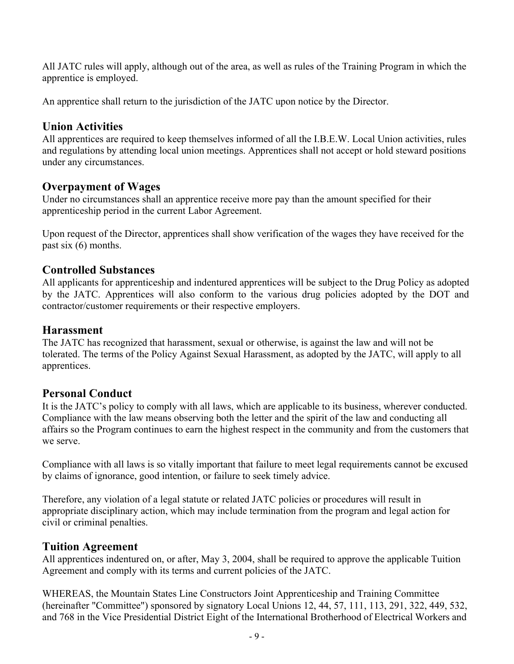All JATC rules will apply, although out of the area, as well as rules of the Training Program in which the apprentice is employed.

An apprentice shall return to the jurisdiction of the JATC upon notice by the Director.

### **Union Activities**

All apprentices are required to keep themselves informed of all the I.B.E.W. Local Union activities, rules and regulations by attending local union meetings. Apprentices shall not accept or hold steward positions under any circumstances.

# **Overpayment of Wages**

Under no circumstances shall an apprentice receive more pay than the amount specified for their apprenticeship period in the current Labor Agreement.

Upon request of the Director, apprentices shall show verification of the wages they have received for the past six (6) months.

# **Controlled Substances**

All applicants for apprenticeship and indentured apprentices will be subject to the Drug Policy as adopted by the JATC. Apprentices will also conform to the various drug policies adopted by the DOT and contractor/customer requirements or their respective employers.

### **Harassment**

The JATC has recognized that harassment, sexual or otherwise, is against the law and will not be tolerated. The terms of the Policy Against Sexual Harassment, as adopted by the JATC, will apply to all apprentices.

# **Personal Conduct**

It is the JATC's policy to comply with all laws, which are applicable to its business, wherever conducted. Compliance with the law means observing both the letter and the spirit of the law and conducting all affairs so the Program continues to earn the highest respect in the community and from the customers that we serve.

Compliance with all laws is so vitally important that failure to meet legal requirements cannot be excused by claims of ignorance, good intention, or failure to seek timely advice.

Therefore, any violation of a legal statute or related JATC policies or procedures will result in appropriate disciplinary action, which may include termination from the program and legal action for civil or criminal penalties.

# **Tuition Agreement**

All apprentices indentured on, or after, May 3, 2004, shall be required to approve the applicable Tuition Agreement and comply with its terms and current policies of the JATC.

WHEREAS, the Mountain States Line Constructors Joint Apprenticeship and Training Committee (hereinafter "Committee") sponsored by signatory Local Unions 12, 44, 57, 111, 113, 291, 322, 449, 532, and 768 in the Vice Presidential District Eight of the International Brotherhood of Electrical Workers and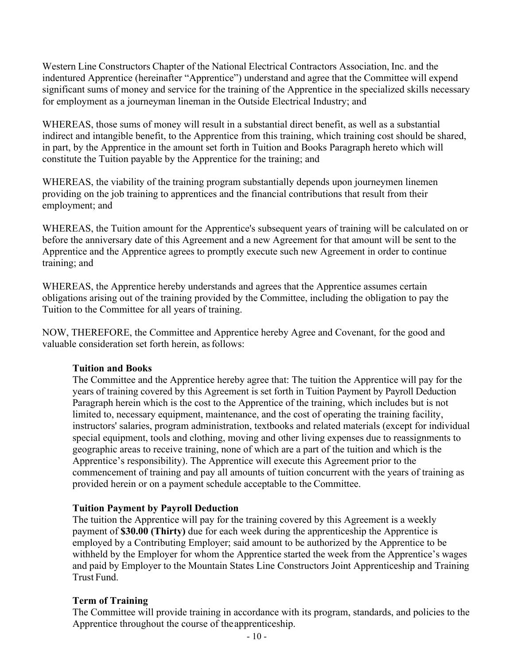Western Line Constructors Chapter of the National Electrical Contractors Association, Inc. and the indentured Apprentice (hereinafter "Apprentice") understand and agree that the Committee will expend significant sums of money and service for the training of the Apprentice in the specialized skills necessary for employment as a journeyman lineman in the Outside Electrical Industry; and

WHEREAS, those sums of money will result in a substantial direct benefit, as well as a substantial indirect and intangible benefit, to the Apprentice from this training, which training cost should be shared, in part, by the Apprentice in the amount set forth in Tuition and Books Paragraph hereto which will constitute the Tuition payable by the Apprentice for the training; and

WHEREAS, the viability of the training program substantially depends upon journeymen linemen providing on the job training to apprentices and the financial contributions that result from their employment; and

WHEREAS, the Tuition amount for the Apprentice's subsequent years of training will be calculated on or before the anniversary date of this Agreement and a new Agreement for that amount will be sent to the Apprentice and the Apprentice agrees to promptly execute such new Agreement in order to continue training; and

WHEREAS, the Apprentice hereby understands and agrees that the Apprentice assumes certain obligations arising out of the training provided by the Committee, including the obligation to pay the Tuition to the Committee for all years of training.

NOW, THEREFORE, the Committee and Apprentice hereby Agree and Covenant, for the good and valuable consideration set forth herein, as follows:

#### **Tuition and Books**

The Committee and the Apprentice hereby agree that: The tuition the Apprentice will pay for the years of training covered by this Agreement is set forth in Tuition Payment by Payroll Deduction Paragraph herein which is the cost to the Apprentice of the training, which includes but is not limited to, necessary equipment, maintenance, and the cost of operating the training facility, instructors' salaries, program administration, textbooks and related materials (except for individual special equipment, tools and clothing, moving and other living expenses due to reassignments to geographic areas to receive training, none of which are a part of the tuition and which is the Apprentice's responsibility). The Apprentice will execute this Agreement prior to the commencement of training and pay all amounts of tuition concurrent with the years of training as provided herein or on a payment schedule acceptable to the Committee.

#### **Tuition Payment by Payroll Deduction**

The tuition the Apprentice will pay for the training covered by this Agreement is a weekly payment of **\$30.00 (Thirty)** due for each week during the apprenticeship the Apprentice is employed by a Contributing Employer; said amount to be authorized by the Apprentice to be withheld by the Employer for whom the Apprentice started the week from the Apprentice's wages and paid by Employer to the Mountain States Line Constructors Joint Apprenticeship and Training Trust Fund.

#### **Term of Training**

The Committee will provide training in accordance with its program, standards, and policies to the Apprentice throughout the course of the apprenticeship.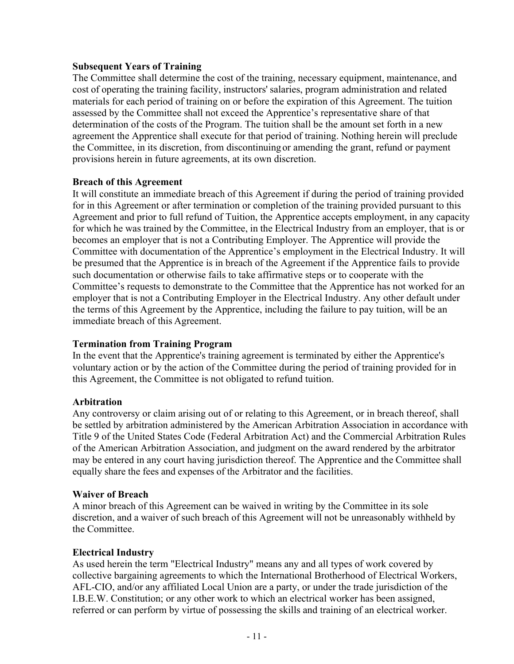#### **Subsequent Years of Training**

The Committee shall determine the cost of the training, necessary equipment, maintenance, and cost of operating the training facility, instructors' salaries, program administration and related materials for each period of training on or before the expiration of this Agreement. The tuition assessed by the Committee shall not exceed the Apprentice's representative share of that determination of the costs of the Program. The tuition shall be the amount set forth in a new agreement the Apprentice shall execute for that period of training. Nothing herein will preclude the Committee, in its discretion, from discontinuing or amending the grant, refund or payment provisions herein in future agreements, at its own discretion.

#### **Breach of this Agreement**

It will constitute an immediate breach of this Agreement if during the period of training provided for in this Agreement or after termination or completion of the training provided pursuant to this Agreement and prior to full refund of Tuition, the Apprentice accepts employment, in any capacity for which he was trained by the Committee, in the Electrical Industry from an employer, that is or becomes an employer that is not a Contributing Employer. The Apprentice will provide the Committee with documentation of the Apprentice's employment in the Electrical Industry. It will be presumed that the Apprentice is in breach of the Agreement if the Apprentice fails to provide such documentation or otherwise fails to take affirmative steps or to cooperate with the Committee's requests to demonstrate to the Committee that the Apprentice has not worked for an employer that is not a Contributing Employer in the Electrical Industry. Any other default under the terms of this Agreement by the Apprentice, including the failure to pay tuition, will be an immediate breach of this Agreement.

#### **Termination from Training Program**

In the event that the Apprentice's training agreement is terminated by either the Apprentice's voluntary action or by the action of the Committee during the period of training provided for in this Agreement, the Committee is not obligated to refund tuition.

#### **Arbitration**

Any controversy or claim arising out of or relating to this Agreement, or in breach thereof, shall be settled by arbitration administered by the American Arbitration Association in accordance with Title 9 of the United States Code (Federal Arbitration Act) and the Commercial Arbitration Rules of the American Arbitration Association, and judgment on the award rendered by the arbitrator may be entered in any court having jurisdiction thereof. The Apprentice and the Committee shall equally share the fees and expenses of the Arbitrator and the facilities.

#### **Waiver of Breach**

A minor breach of this Agreement can be waived in writing by the Committee in its sole discretion, and a waiver of such breach of this Agreement will not be unreasonably withheld by the Committee.

#### **Electrical Industry**

As used herein the term "Electrical Industry" means any and all types of work covered by collective bargaining agreements to which the International Brotherhood of Electrical Workers, AFL-CIO, and/or any affiliated Local Union are a party, or under the trade jurisdiction of the I.B.E.W. Constitution; or any other work to which an electrical worker has been assigned, referred or can perform by virtue of possessing the skills and training of an electrical worker.